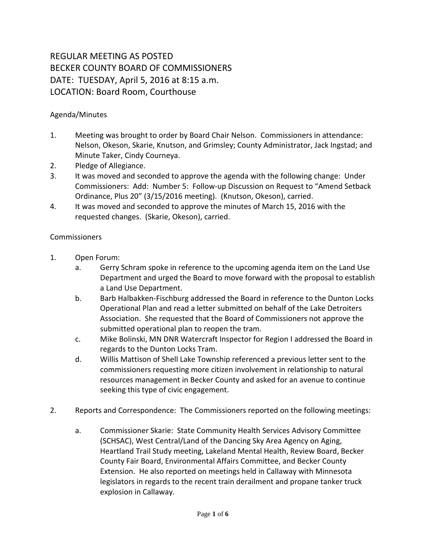## REGULAR MEETING AS POSTED BECKER COUNTY BOARD OF COMMISSIONERS DATE: TUESDAY, April 5, 2016 at 8:15 a.m. LOCATION: Board Room, Courthouse

## Agenda/Minutes

- 1. Meeting was brought to order by Board Chair Nelson. Commissioners in attendance: Nelson, Okeson, Skarie, Knutson, and Grimsley; County Administrator, Jack Ingstad; and Minute Taker, Cindy Courneya.
- 2. Pledge of Allegiance.
- 3. It was moved and seconded to approve the agenda with the following change: Under Commissioners: Add: Number 5: Follow-up Discussion on Request to "Amend Setback Ordinance, Plus 20" (3/15/2016 meeting). (Knutson, Okeson), carried.
- 4. It was moved and seconded to approve the minutes of March 15, 2016 with the requested changes. (Skarie, Okeson), carried.

## Commissioners

- 1. Open Forum:
	- a. Gerry Schram spoke in reference to the upcoming agenda item on the Land Use Department and urged the Board to move forward with the proposal to establish a Land Use Department.
	- b. Barb Halbakken-Fischburg addressed the Board in reference to the Dunton Locks Operational Plan and read a letter submitted on behalf of the Lake Detroiters Association. She requested that the Board of Commissioners not approve the submitted operational plan to reopen the tram.
	- c. Mike Bolinski, MN DNR Watercraft Inspector for Region I addressed the Board in regards to the Dunton Locks Tram.
	- d. Willis Mattison of Shell Lake Township referenced a previous letter sent to the commissioners requesting more citizen involvement in relationship to natural resources management in Becker County and asked for an avenue to continue seeking this type of civic engagement.
- 2. Reports and Correspondence: The Commissioners reported on the following meetings:
	- a. Commissioner Skarie: State Community Health Services Advisory Committee (SCHSAC), West Central/Land of the Dancing Sky Area Agency on Aging, Heartland Trail Study meeting, Lakeland Mental Health, Review Board, Becker County Fair Board, Environmental Affairs Committee, and Becker County Extension. He also reported on meetings held in Callaway with Minnesota legislators in regards to the recent train derailment and propane tanker truck explosion in Callaway.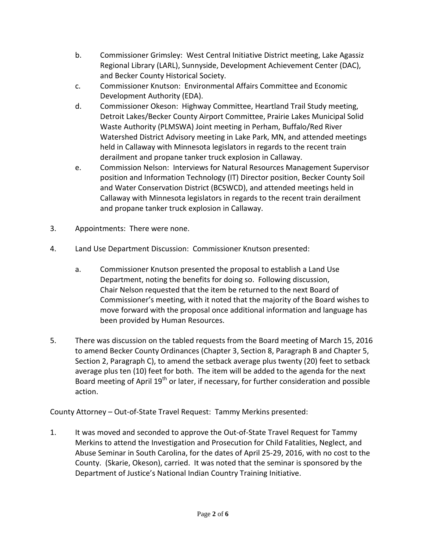- b. Commissioner Grimsley: West Central Initiative District meeting, Lake Agassiz Regional Library (LARL), Sunnyside, Development Achievement Center (DAC), and Becker County Historical Society.
- c. Commissioner Knutson: Environmental Affairs Committee and Economic Development Authority (EDA).
- d. Commissioner Okeson: Highway Committee, Heartland Trail Study meeting, Detroit Lakes/Becker County Airport Committee, Prairie Lakes Municipal Solid Waste Authority (PLMSWA) Joint meeting in Perham, Buffalo/Red River Watershed District Advisory meeting in Lake Park, MN, and attended meetings held in Callaway with Minnesota legislators in regards to the recent train derailment and propane tanker truck explosion in Callaway.
- e. Commission Nelson: Interviews for Natural Resources Management Supervisor position and Information Technology (IT) Director position, Becker County Soil and Water Conservation District (BCSWCD), and attended meetings held in Callaway with Minnesota legislators in regards to the recent train derailment and propane tanker truck explosion in Callaway.
- 3. Appointments: There were none.
- 4. Land Use Department Discussion: Commissioner Knutson presented:
	- a. Commissioner Knutson presented the proposal to establish a Land Use Department, noting the benefits for doing so. Following discussion, Chair Nelson requested that the item be returned to the next Board of Commissioner's meeting, with it noted that the majority of the Board wishes to move forward with the proposal once additional information and language has been provided by Human Resources.
- 5. There was discussion on the tabled requests from the Board meeting of March 15, 2016 to amend Becker County Ordinances (Chapter 3, Section 8, Paragraph B and Chapter 5, Section 2, Paragraph C), to amend the setback average plus twenty (20) feet to setback average plus ten (10) feet for both. The item will be added to the agenda for the next Board meeting of April 19<sup>th</sup> or later, if necessary, for further consideration and possible action.

County Attorney – Out-of-State Travel Request: Tammy Merkins presented:

1. It was moved and seconded to approve the Out-of-State Travel Request for Tammy Merkins to attend the Investigation and Prosecution for Child Fatalities, Neglect, and Abuse Seminar in South Carolina, for the dates of April 25-29, 2016, with no cost to the County. (Skarie, Okeson), carried. It was noted that the seminar is sponsored by the Department of Justice's National Indian Country Training Initiative.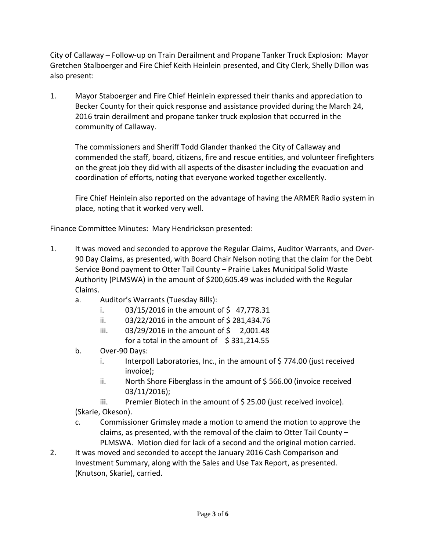City of Callaway – Follow-up on Train Derailment and Propane Tanker Truck Explosion: Mayor Gretchen Stalboerger and Fire Chief Keith Heinlein presented, and City Clerk, Shelly Dillon was also present:

1. Mayor Staboerger and Fire Chief Heinlein expressed their thanks and appreciation to Becker County for their quick response and assistance provided during the March 24, 2016 train derailment and propane tanker truck explosion that occurred in the community of Callaway.

The commissioners and Sheriff Todd Glander thanked the City of Callaway and commended the staff, board, citizens, fire and rescue entities, and volunteer firefighters on the great job they did with all aspects of the disaster including the evacuation and coordination of efforts, noting that everyone worked together excellently.

Fire Chief Heinlein also reported on the advantage of having the ARMER Radio system in place, noting that it worked very well.

Finance Committee Minutes: Mary Hendrickson presented:

- 1. It was moved and seconded to approve the Regular Claims, Auditor Warrants, and Over-90 Day Claims, as presented, with Board Chair Nelson noting that the claim for the Debt Service Bond payment to Otter Tail County – Prairie Lakes Municipal Solid Waste Authority (PLMSWA) in the amount of \$200,605.49 was included with the Regular Claims.
	- a. Auditor's Warrants (Tuesday Bills):
		- i.  $03/15/2016$  in the amount of \$47,778.31
		- ii.  $03/22/2016$  in the amount of \$281,434.76
		- iii.  $03/29/2016$  in the amount of  $\frac{1}{2}$  2,001.48 for a total in the amount of  $$331,214.55$
	- b. Over-90 Days:
		- i. Interpoll Laboratories, Inc., in the amount of \$774.00 (just received invoice);
		- ii. North Shore Fiberglass in the amount of \$ 566.00 (invoice received 03/11/2016);
	- iii. Premier Biotech in the amount of \$25.00 (just received invoice). (Skarie, Okeson).
	- c. Commissioner Grimsley made a motion to amend the motion to approve the claims, as presented, with the removal of the claim to Otter Tail County – PLMSWA. Motion died for lack of a second and the original motion carried.
- 2. It was moved and seconded to accept the January 2016 Cash Comparison and Investment Summary, along with the Sales and Use Tax Report, as presented. (Knutson, Skarie), carried.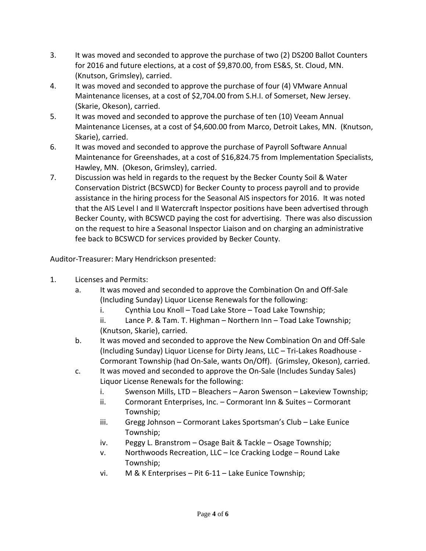- 3. It was moved and seconded to approve the purchase of two (2) DS200 Ballot Counters for 2016 and future elections, at a cost of \$9,870.00, from ES&S, St. Cloud, MN. (Knutson, Grimsley), carried.
- 4. It was moved and seconded to approve the purchase of four (4) VMware Annual Maintenance licenses, at a cost of \$2,704.00 from S.H.I. of Somerset, New Jersey. (Skarie, Okeson), carried.
- 5. It was moved and seconded to approve the purchase of ten (10) Veeam Annual Maintenance Licenses, at a cost of \$4,600.00 from Marco, Detroit Lakes, MN. (Knutson, Skarie), carried.
- 6. It was moved and seconded to approve the purchase of Payroll Software Annual Maintenance for Greenshades, at a cost of \$16,824.75 from Implementation Specialists, Hawley, MN. (Okeson, Grimsley), carried.
- 7. Discussion was held in regards to the request by the Becker County Soil & Water Conservation District (BCSWCD) for Becker County to process payroll and to provide assistance in the hiring process for the Seasonal AIS inspectors for 2016. It was noted that the AIS Level I and II Watercraft Inspector positions have been advertised through Becker County, with BCSWCD paying the cost for advertising. There was also discussion on the request to hire a Seasonal Inspector Liaison and on charging an administrative fee back to BCSWCD for services provided by Becker County.

Auditor-Treasurer: Mary Hendrickson presented:

- 1. Licenses and Permits:
	- a. It was moved and seconded to approve the Combination On and Off-Sale (Including Sunday) Liquor License Renewals for the following:
		- i. Cynthia Lou Knoll Toad Lake Store Toad Lake Township;
		- ii. Lance P. & Tam. T. Highman Northern Inn Toad Lake Township; (Knutson, Skarie), carried.
	- b. It was moved and seconded to approve the New Combination On and Off-Sale (Including Sunday) Liquor License for Dirty Jeans, LLC – Tri-Lakes Roadhouse - Cormorant Township (had On-Sale, wants On/Off). (Grimsley, Okeson), carried.
	- c. It was moved and seconded to approve the On-Sale (Includes Sunday Sales) Liquor License Renewals for the following:
		- i. Swenson Mills, LTD Bleachers Aaron Swenson Lakeview Township;
		- ii. Cormorant Enterprises, Inc. Cormorant Inn & Suites Cormorant Township;
		- iii. Gregg Johnson Cormorant Lakes Sportsman's Club Lake Eunice Township;
		- iv. Peggy L. Branstrom Osage Bait & Tackle Osage Township;
		- v. Northwoods Recreation, LLC Ice Cracking Lodge Round Lake Township;
		- vi. M & K Enterprises Pit 6-11 Lake Eunice Township;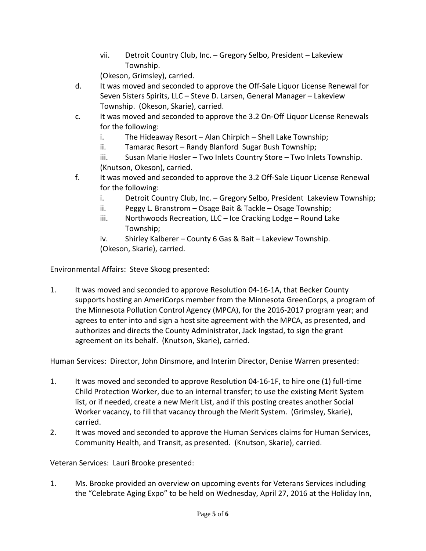vii. Detroit Country Club, Inc. – Gregory Selbo, President – Lakeview Township.

(Okeson, Grimsley), carried.

- d. It was moved and seconded to approve the Off-Sale Liquor License Renewal for Seven Sisters Spirits, LLC – Steve D. Larsen, General Manager – Lakeview Township. (Okeson, Skarie), carried.
- c. It was moved and seconded to approve the 3.2 On-Off Liquor License Renewals for the following:
	- i. The Hideaway Resort Alan Chirpich Shell Lake Township;
	- ii. Tamarac Resort Randy Blanford Sugar Bush Township;

iii. Susan Marie Hosler – Two Inlets Country Store – Two Inlets Township. (Knutson, Okeson), carried.

- f. It was moved and seconded to approve the 3.2 Off-Sale Liquor License Renewal for the following:
	- i. Detroit Country Club, Inc. Gregory Selbo, President Lakeview Township;
	- ii. Peggy L. Branstrom Osage Bait & Tackle Osage Township;
	- iii. Northwoods Recreation, LLC Ice Cracking Lodge Round Lake Township;
	- iv. Shirley Kalberer County 6 Gas & Bait Lakeview Township. (Okeson, Skarie), carried.

Environmental Affairs: Steve Skoog presented:

1. It was moved and seconded to approve Resolution 04-16-1A, that Becker County supports hosting an AmeriCorps member from the Minnesota GreenCorps, a program of the Minnesota Pollution Control Agency (MPCA), for the 2016-2017 program year; and agrees to enter into and sign a host site agreement with the MPCA, as presented, and authorizes and directs the County Administrator, Jack Ingstad, to sign the grant agreement on its behalf. (Knutson, Skarie), carried.

Human Services: Director, John Dinsmore, and Interim Director, Denise Warren presented:

- 1. It was moved and seconded to approve Resolution 04-16-1F, to hire one (1) full-time Child Protection Worker, due to an internal transfer; to use the existing Merit System list, or if needed, create a new Merit List, and if this posting creates another Social Worker vacancy, to fill that vacancy through the Merit System. (Grimsley, Skarie), carried.
- 2. It was moved and seconded to approve the Human Services claims for Human Services, Community Health, and Transit, as presented. (Knutson, Skarie), carried.

Veteran Services: Lauri Brooke presented:

1. Ms. Brooke provided an overview on upcoming events for Veterans Services including the "Celebrate Aging Expo" to be held on Wednesday, April 27, 2016 at the Holiday Inn,